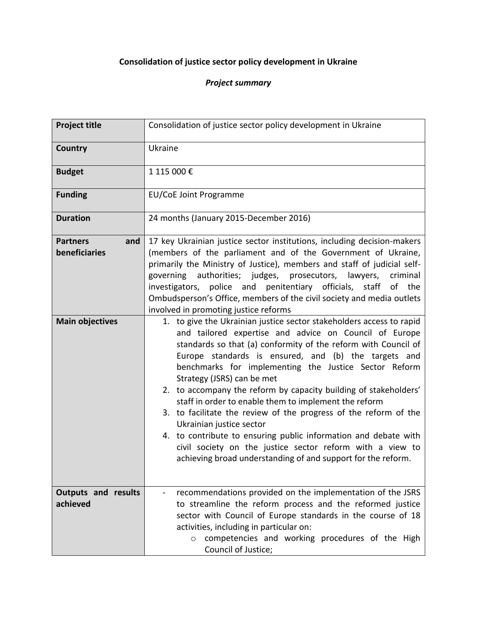## **Consolidation of justice sector policy development in Ukraine**

## *Project summary*

| <b>Project title</b>                    | Consolidation of justice sector policy development in Ukraine                                                                                                                                                                                                                                                                                                                                                                                                                                                                                                                                                                                                                                                                                                                |
|-----------------------------------------|------------------------------------------------------------------------------------------------------------------------------------------------------------------------------------------------------------------------------------------------------------------------------------------------------------------------------------------------------------------------------------------------------------------------------------------------------------------------------------------------------------------------------------------------------------------------------------------------------------------------------------------------------------------------------------------------------------------------------------------------------------------------------|
| <b>Country</b>                          | Ukraine                                                                                                                                                                                                                                                                                                                                                                                                                                                                                                                                                                                                                                                                                                                                                                      |
| <b>Budget</b>                           | 1 115 000€                                                                                                                                                                                                                                                                                                                                                                                                                                                                                                                                                                                                                                                                                                                                                                   |
| <b>Funding</b>                          | EU/CoE Joint Programme                                                                                                                                                                                                                                                                                                                                                                                                                                                                                                                                                                                                                                                                                                                                                       |
| <b>Duration</b>                         | 24 months (January 2015-December 2016)                                                                                                                                                                                                                                                                                                                                                                                                                                                                                                                                                                                                                                                                                                                                       |
| <b>Partners</b><br>and<br>beneficiaries | 17 key Ukrainian justice sector institutions, including decision-makers<br>(members of the parliament and of the Government of Ukraine,<br>primarily the Ministry of Justice), members and staff of judicial self-<br>governing authorities; judges, prosecutors, lawyers,<br>criminal<br>police and penitentiary officials, staff<br>investigators,<br>of the<br>Ombudsperson's Office, members of the civil society and media outlets<br>involved in promoting justice reforms                                                                                                                                                                                                                                                                                             |
| <b>Main objectives</b>                  | 1. to give the Ukrainian justice sector stakeholders access to rapid<br>and tailored expertise and advice on Council of Europe<br>standards so that (a) conformity of the reform with Council of<br>Europe standards is ensured, and (b) the targets and<br>benchmarks for implementing the Justice Sector Reform<br>Strategy (JSRS) can be met<br>2. to accompany the reform by capacity building of stakeholders'<br>staff in order to enable them to implement the reform<br>3. to facilitate the review of the progress of the reform of the<br>Ukrainian justice sector<br>4. to contribute to ensuring public information and debate with<br>civil society on the justice sector reform with a view to<br>achieving broad understanding of and support for the reform. |
| <b>Outputs and results</b><br>achieved  | recommendations provided on the implementation of the JSRS<br>to streamline the reform process and the reformed justice<br>sector with Council of Europe standards in the course of 18<br>activities, including in particular on:<br>competencies and working procedures of the High<br>$\circ$<br>Council of Justice;                                                                                                                                                                                                                                                                                                                                                                                                                                                       |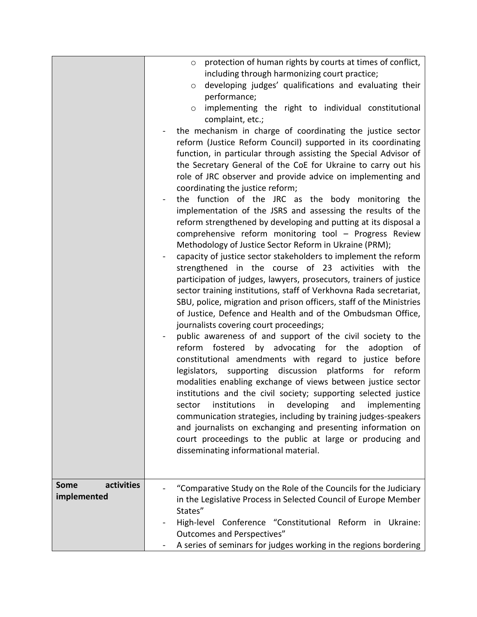|                           | protection of human rights by courts at times of conflict,<br>$\circ$<br>including through harmonizing court practice;<br>developing judges' qualifications and evaluating their<br>$\circ$<br>performance;<br>implementing the right to individual constitutional<br>$\circ$<br>complaint, etc.;<br>the mechanism in charge of coordinating the justice sector<br>reform (Justice Reform Council) supported in its coordinating<br>function, in particular through assisting the Special Advisor of<br>the Secretary General of the CoE for Ukraine to carry out his<br>role of JRC observer and provide advice on implementing and<br>coordinating the justice reform;<br>the function of the JRC as the body monitoring the<br>implementation of the JSRS and assessing the results of the<br>reform strengthened by developing and putting at its disposal a<br>comprehensive reform monitoring tool - Progress Review<br>Methodology of Justice Sector Reform in Ukraine (PRM);<br>capacity of justice sector stakeholders to implement the reform<br>strengthened in the course of 23 activities with the<br>participation of judges, lawyers, prosecutors, trainers of justice<br>sector training institutions, staff of Verkhovna Rada secretariat,<br>SBU, police, migration and prison officers, staff of the Ministries<br>of Justice, Defence and Health and of the Ombudsman Office,<br>journalists covering court proceedings; |
|---------------------------|----------------------------------------------------------------------------------------------------------------------------------------------------------------------------------------------------------------------------------------------------------------------------------------------------------------------------------------------------------------------------------------------------------------------------------------------------------------------------------------------------------------------------------------------------------------------------------------------------------------------------------------------------------------------------------------------------------------------------------------------------------------------------------------------------------------------------------------------------------------------------------------------------------------------------------------------------------------------------------------------------------------------------------------------------------------------------------------------------------------------------------------------------------------------------------------------------------------------------------------------------------------------------------------------------------------------------------------------------------------------------------------------------------------------------------------------|
|                           | reform fostered by advocating for the adoption<br>constitutional amendments with regard to justice before<br>legislators, supporting discussion platforms for reform<br>modalities enabling exchange of views between justice sector<br>institutions and the civil society; supporting selected justice<br>institutions in developing and implementing<br>sector<br>communication strategies, including by training judges-speakers<br>and journalists on exchanging and presenting information on<br>court proceedings to the public at large or producing and<br>disseminating informational material.                                                                                                                                                                                                                                                                                                                                                                                                                                                                                                                                                                                                                                                                                                                                                                                                                                     |
| activities<br><b>Some</b> | "Comparative Study on the Role of the Councils for the Judiciary                                                                                                                                                                                                                                                                                                                                                                                                                                                                                                                                                                                                                                                                                                                                                                                                                                                                                                                                                                                                                                                                                                                                                                                                                                                                                                                                                                             |
| implemented               | in the Legislative Process in Selected Council of Europe Member<br>States"                                                                                                                                                                                                                                                                                                                                                                                                                                                                                                                                                                                                                                                                                                                                                                                                                                                                                                                                                                                                                                                                                                                                                                                                                                                                                                                                                                   |
|                           | High-level Conference "Constitutional Reform in Ukraine:                                                                                                                                                                                                                                                                                                                                                                                                                                                                                                                                                                                                                                                                                                                                                                                                                                                                                                                                                                                                                                                                                                                                                                                                                                                                                                                                                                                     |
|                           | <b>Outcomes and Perspectives"</b>                                                                                                                                                                                                                                                                                                                                                                                                                                                                                                                                                                                                                                                                                                                                                                                                                                                                                                                                                                                                                                                                                                                                                                                                                                                                                                                                                                                                            |
|                           | A series of seminars for judges working in the regions bordering                                                                                                                                                                                                                                                                                                                                                                                                                                                                                                                                                                                                                                                                                                                                                                                                                                                                                                                                                                                                                                                                                                                                                                                                                                                                                                                                                                             |